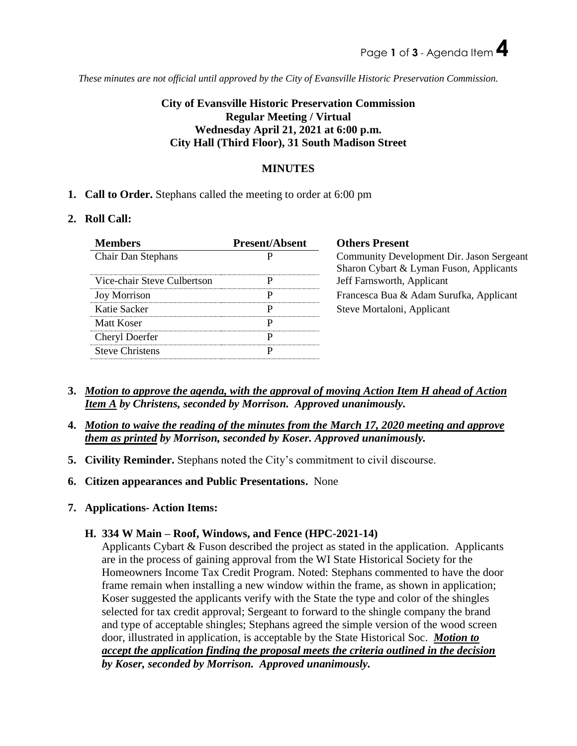*These minutes are not official until approved by the City of Evansville Historic Preservation Commission.*

# **City of Evansville Historic Preservation Commission Regular Meeting / Virtual Wednesday April 21, 2021 at 6:00 p.m. City Hall (Third Floor), 31 South Madison Street**

# **MINUTES**

**1. Call to Order.** Stephans called the meeting to order at 6:00 pm

## **2. Roll Call:**

| <b>Members</b>              | <b>Present/Absent</b> | <b>Others Present</b>                                                                |
|-----------------------------|-----------------------|--------------------------------------------------------------------------------------|
| <b>Chair Dan Stephans</b>   |                       | Community Development Dir. Jason Sergeant<br>Sharon Cybart & Lyman Fuson, Applicants |
| Vice-chair Steve Culbertson |                       | Jeff Farnsworth, Applicant                                                           |
| <b>Joy Morrison</b>         | P                     | Francesca Bua & Adam Surufka, Applicant                                              |
| Katie Sacker                | р                     | Steve Mortaloni, Applicant                                                           |
| Matt Koser                  |                       |                                                                                      |
| <b>Cheryl Doerfer</b>       | р                     |                                                                                      |
| <b>Steve Christens</b>      |                       |                                                                                      |

- **3.** *Motion to approve the agenda, with the approval of moving Action Item H ahead of Action Item A by Christens, seconded by Morrison. Approved unanimously.*
- **4.** *Motion to waive the reading of the minutes from the March 17, 2020 meeting and approve them as printed by Morrison, seconded by Koser. Approved unanimously.*
- **5. Civility Reminder.** Stephans noted the City's commitment to civil discourse.
- **6. Citizen appearances and Public Presentations.** None
- **7. Applications- Action Items:**

# **H. 334 W Main – Roof, Windows, and Fence (HPC-2021-14)**

Applicants Cybart & Fuson described the project as stated in the application. Applicants are in the process of gaining approval from the WI State Historical Society for the Homeowners Income Tax Credit Program. Noted: Stephans commented to have the door frame remain when installing a new window within the frame, as shown in application; Koser suggested the applicants verify with the State the type and color of the shingles selected for tax credit approval; Sergeant to forward to the shingle company the brand and type of acceptable shingles; Stephans agreed the simple version of the wood screen door, illustrated in application, is acceptable by the State Historical Soc. *Motion to accept the application finding the proposal meets the criteria outlined in the decision by Koser, seconded by Morrison. Approved unanimously.*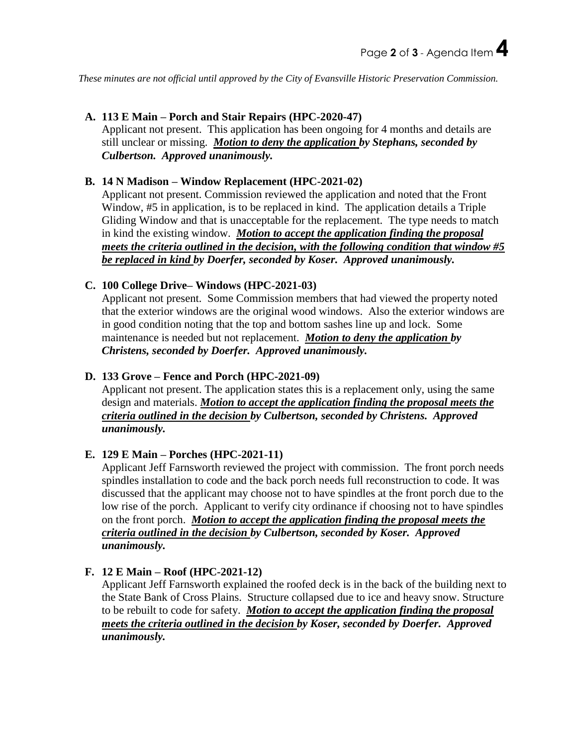*These minutes are not official until approved by the City of Evansville Historic Preservation Commission.*

## **A. 113 E Main – Porch and Stair Repairs (HPC-2020-47)**

Applicant not present. This application has been ongoing for 4 months and details are still unclear or missing. *Motion to deny the application by Stephans, seconded by Culbertson. Approved unanimously.*

### **B. 14 N Madison – Window Replacement (HPC-2021-02)**

Applicant not present. Commission reviewed the application and noted that the Front Window, #5 in application, is to be replaced in kind. The application details a Triple Gliding Window and that is unacceptable for the replacement. The type needs to match in kind the existing window. *Motion to accept the application finding the proposal meets the criteria outlined in the decision, with the following condition that window #5 be replaced in kind by Doerfer, seconded by Koser. Approved unanimously.*

### **C. 100 College Drive– Windows (HPC-2021-03)**

Applicant not present. Some Commission members that had viewed the property noted that the exterior windows are the original wood windows. Also the exterior windows are in good condition noting that the top and bottom sashes line up and lock. Some maintenance is needed but not replacement. *Motion to deny the application by Christens, seconded by Doerfer. Approved unanimously.*

### **D. 133 Grove – Fence and Porch (HPC-2021-09)**

Applicant not present. The application states this is a replacement only, using the same design and materials. *Motion to accept the application finding the proposal meets the criteria outlined in the decision by Culbertson, seconded by Christens. Approved unanimously.*

#### **E. 129 E Main – Porches (HPC-2021-11)**

Applicant Jeff Farnsworth reviewed the project with commission. The front porch needs spindles installation to code and the back porch needs full reconstruction to code. It was discussed that the applicant may choose not to have spindles at the front porch due to the low rise of the porch. Applicant to verify city ordinance if choosing not to have spindles on the front porch. *Motion to accept the application finding the proposal meets the criteria outlined in the decision by Culbertson, seconded by Koser. Approved unanimously.*

## **F. 12 E Main – Roof (HPC-2021-12)**

Applicant Jeff Farnsworth explained the roofed deck is in the back of the building next to the State Bank of Cross Plains. Structure collapsed due to ice and heavy snow. Structure to be rebuilt to code for safety. *Motion to accept the application finding the proposal meets the criteria outlined in the decision by Koser, seconded by Doerfer. Approved unanimously.*